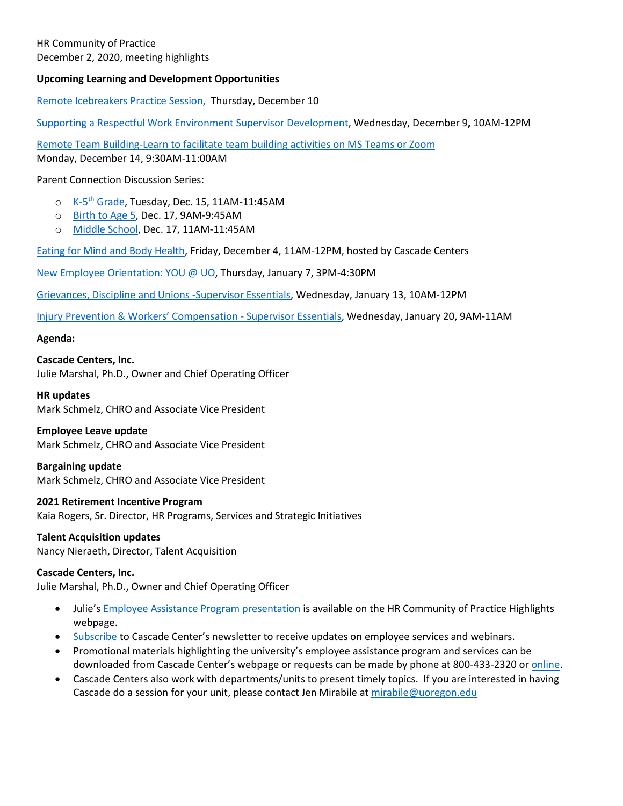## **Upcoming Learning and Development Opportunities**

[Remote Icebreakers Practice Session,](https://uomytrack.pageuppeople.com/learning/3144) Thursday, December 10

[Supporting a Respectful Work Environment Supervisor Development,](https://uomytrack.pageuppeople.com/learning/2442) Wednesday, December 9**,** 10AM-12PM

[Remote Team Building-Learn to facilitate team building activities on MS Teams or Zoom](https://uomytrack.pageuppeople.com/learning/3130) Monday, December 14, 9:30AM-11:00AM

Parent Connection Discussion Series:

- o K-5<sup>th</sup> [Grade,](https://uomytrack.pageuppeople.com/learning/3096) Tuesday, Dec. 15, 11AM-11:45AM
- o [Birth to Age 5,](https://uomytrack.pageuppeople.com/learning/3095) Dec. 17, 9AM-9:45AM
- o [Middle School,](https://uomytrack.pageuppeople.com/learning/3097) Dec. 17, 11AM-11:45AM

[Eating for Mind and Body Health,](https://cascadecenters.com/index.php?exturl=420EEcurl95) Friday, December 4, 11AM-12PM, hosted by Cascade Centers

[New Employee Orientation: YOU @ UO,](https://uomytrack.pageuppeople.com/learning/2937) Thursday, January 7, 3PM-4:30PM

[Grievances, Discipline and Unions -Supervisor Essentials,](https://uomytrack.pageuppeople.com/learning/2447) Wednesday, January 13, 10AM-12PM

[Injury Prevention & Workers' Compensation -](https://uomytrack.pageuppeople.com/learning/2446) Supervisor Essentials, Wednesday, January 20, 9AM-11AM

#### **Agenda:**

**Cascade Centers, Inc.** Julie Marshal, Ph.D., Owner and Chief Operating Officer

**HR updates** Mark Schmelz, CHRO and Associate Vice President

## **Employee Leave update**

Mark Schmelz, CHRO and Associate Vice President

## **Bargaining update**

Mark Schmelz, CHRO and Associate Vice President

## **2021 Retirement Incentive Program**

Kaia Rogers, Sr. Director, HR Programs, Services and Strategic Initiatives

# **Talent Acquisition updates**

Nancy Nieraeth, Director, Talent Acquisition

## **Cascade Centers, Inc.**

Julie Marshal, Ph.D., Owner and Chief Operating Officer

- Julie's [Employee Assistance Program presentation](https://hr.uoregon.edu/hr-partners/meeting-highlights-resources) is available on the HR Community of Practice Highlights webpage.
- [Subscribe](https://cascadecenters.us8.list-manage.com/subscribe/post?u=bfd09d34cde1b9580d310b180&id=9680bc3fec) to Cascade Center's newsletter to receive updates on employee services and webinars.
- Promotional materials highlighting the university's employee assistance program and services can be downloaded from Cascade Center's webpage or requests can be made by phone at 800-433-2320 o[r online.](https://cascadecenters.com/102gp5)
- Cascade Centers also work with departments/units to present timely topics. If you are interested in having Cascade do a session for your unit, please contact Jen Mirabile at [mirabile@uoregon.edu](mailto:mirabile@uoregon.edu)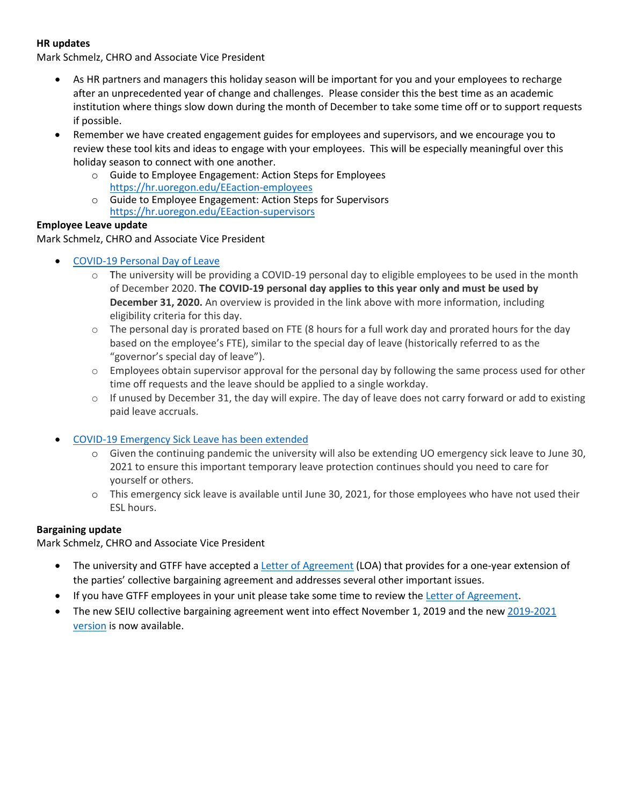## **HR updates**

Mark Schmelz, CHRO and Associate Vice President

- As HR partners and managers this holiday season will be important for you and your employees to recharge after an unprecedented year of change and challenges. Please consider this the best time as an academic institution where things slow down during the month of December to take some time off or to support requests if possible.
- Remember we have created engagement guides for employees and supervisors, and we encourage you to review these tool kits and ideas to engage with your employees. This will be especially meaningful over this holiday season to connect with one another.
	- o Guide to Employee Engagement: Action Steps for Employees <https://hr.uoregon.edu/EEaction-employees>
	- o Guide to Employee Engagement: Action Steps for Supervisors <https://hr.uoregon.edu/EEaction-supervisors>

## **Employee Leave update**

Mark Schmelz, CHRO and Associate Vice President

- [COVID-19 Personal Day of Leave](https://hr.uoregon.edu/programs-services/covid-19-resources/uo-covid-19-personal-day)
	- $\circ$  The university will be providing a COVID-19 personal day to eligible employees to be used in the month of December 2020. **The COVID-19 personal day applies to this year only and must be used by December 31, 2020.** An overview is provided in the link above with more information, including eligibility criteria for this day.
	- $\circ$  The personal day is prorated based on FTE (8 hours for a full work day and prorated hours for the day based on the employee's FTE), similar to the special day of leave (historically referred to as the "governor's special day of leave").
	- $\circ$  Employees obtain supervisor approval for the personal day by following the same process used for other time off requests and the leave should be applied to a single workday.
	- $\circ$  If unused by December 31, the day will expire. The day of leave does not carry forward or add to existing paid leave accruals.
- [COVID-19 Emergency Sick Leave has been extended](https://hr.uoregon.edu/ESL)
	- o Given the continuing pandemic the university will also be extending UO emergency sick leave to June 30, 2021 to ensure this important temporary leave protection continues should you need to care for yourself or others.
	- o This emergency sick leave is available until June 30, 2021, for those employees who have not used their ESL hours.

## **Bargaining update**

Mark Schmelz, CHRO and Associate Vice President

- The university and GTFF have accepted [a Letter of Agreement](https://hr.uoregon.edu/employee-labor-relations/employee-groups-cbas/graduate-teaching-fellows-federation/gtff-letter) (LOA) that provides for a one-year extension of the parties' collective bargaining agreement and addresses several other important issues.
- If you have GTFF employees in your unit please take some time to review th[e Letter of Agreement.](https://hr.uoregon.edu/employee-labor-relations/employee-groups-cbas/graduate-teaching-fellows-federation/gtff-letter)
- The new SEIU collective bargaining agreement went into effect November 1, 2019 and the new [2019-2021](https://hr.uoregon.edu/seiu-cba-2019-2021.pdf)  [version](https://hr.uoregon.edu/seiu-cba-2019-2021.pdf) is now available.